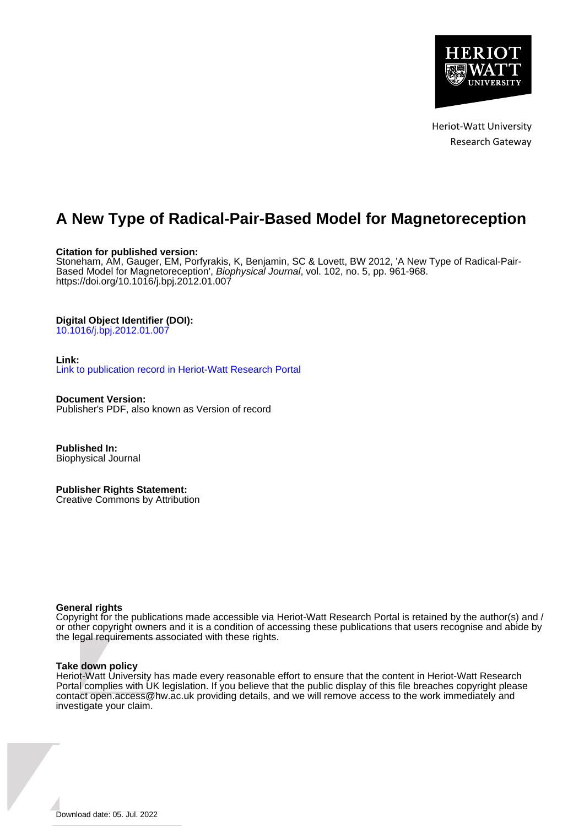

Heriot-Watt University Research Gateway

# **A New Type of Radical-Pair-Based Model for Magnetoreception**

## **Citation for published version:**

Stoneham, AM, Gauger, EM, Porfyrakis, K, Benjamin, SC & Lovett, BW 2012, 'A New Type of Radical-Pair-Based Model for Magnetoreception', Biophysical Journal, vol. 102, no. 5, pp. 961-968. <https://doi.org/10.1016/j.bpj.2012.01.007>

# **Digital Object Identifier (DOI):**

[10.1016/j.bpj.2012.01.007](https://doi.org/10.1016/j.bpj.2012.01.007)

### **Link:**

[Link to publication record in Heriot-Watt Research Portal](https://researchportal.hw.ac.uk/en/publications/c6f5bb35-c126-4ee8-a427-812265c4fc6e)

**Document Version:** Publisher's PDF, also known as Version of record

**Published In:** Biophysical Journal

**Publisher Rights Statement:** Creative Commons by Attribution

### **General rights**

Copyright for the publications made accessible via Heriot-Watt Research Portal is retained by the author(s) and / or other copyright owners and it is a condition of accessing these publications that users recognise and abide by the legal requirements associated with these rights.

### **Take down policy**

Heriot-Watt University has made every reasonable effort to ensure that the content in Heriot-Watt Research Portal complies with UK legislation. If you believe that the public display of this file breaches copyright please contact open.access@hw.ac.uk providing details, and we will remove access to the work immediately and investigate your claim.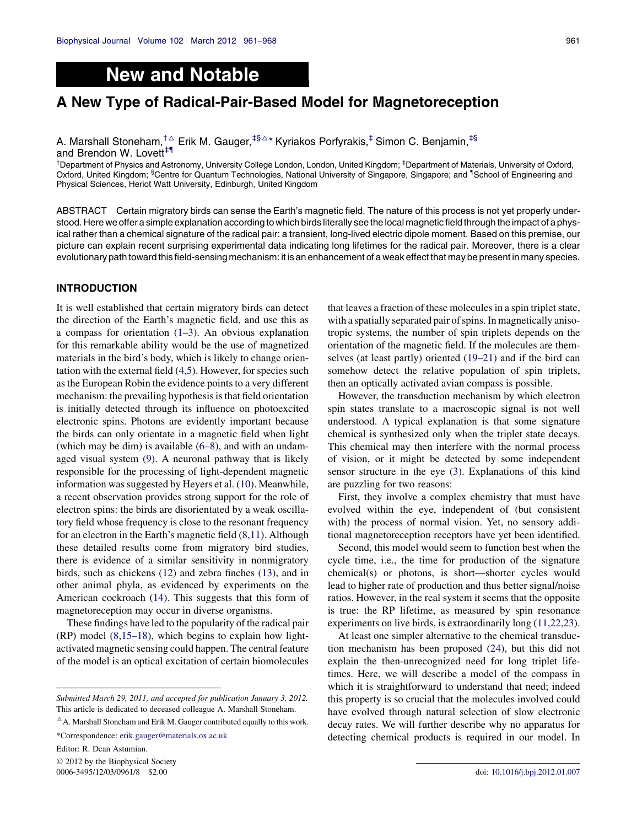# New and Notable

# A New Type of Radical-Pair-Based Model for Magnetoreception

A. Marshall Stoneham,<sup>†△</sup> Erik M. Gauger,<sup>‡§△</sup>\* Kyriakos Porfyrakis,<sup>‡</sup> Simon C. Benjamin,<sup>‡§</sup>

and Brendon W. Lovett<sup>#¶</sup>

† Department of Physics and Astronomy, University College London, London, United Kingdom; ‡ Department of Materials, University of Oxford, Oxford, United Kingdom; <sup>§</sup>Centre for Quantum Technologies, National University of Singapore, Singapore; and <sup>1</sup>School of Engineering and Physical Sciences, Heriot Watt University, Edinburgh, United Kingdom

ABSTRACT Certain migratory birds can sense the Earth's magnetic field. The nature of this process is not yet properly understood. Here we offer a simple explanation according to which birds literally see the local magnetic field through the impact of a physical rather than a chemical signature of the radical pair: a transient, long-lived electric dipole moment. Based on this premise, our picture can explain recent surprising experimental data indicating long lifetimes for the radical pair. Moreover, there is a clear evolutionary path toward this field-sensing mechanism: it is an enhancement of a weak effect that may be present in many species.

## INTRODUCTION

It is well established that certain migratory birds can detect the direction of the Earth's magnetic field, and use this as a compass for orientation [\(1–3](#page-7-0)). An obvious explanation for this remarkable ability would be the use of magnetized materials in the bird's body, which is likely to change orientation with the external field [\(4,5\)](#page-7-0). However, for species such as the European Robin the evidence points to a very different mechanism: the prevailing hypothesis is that field orientation is initially detected through its influence on photoexcited electronic spins. Photons are evidently important because the birds can only orientate in a magnetic field when light (which may be dim) is available ([6–8\)](#page-7-0), and with an undamaged visual system ([9\)](#page-7-0). A neuronal pathway that is likely responsible for the processing of light-dependent magnetic information was suggested by Heyers et al. [\(10](#page-7-0)). Meanwhile, a recent observation provides strong support for the role of electron spins: the birds are disorientated by a weak oscillatory field whose frequency is close to the resonant frequency for an electron in the Earth's magnetic field [\(8,11\)](#page-7-0). Although these detailed results come from migratory bird studies, there is evidence of a similar sensitivity in nonmigratory birds, such as chickens ([12\)](#page-7-0) and zebra finches ([13\)](#page-7-0), and in other animal phyla, as evidenced by experiments on the American cockroach [\(14](#page-7-0)). This suggests that this form of magnetoreception may occur in diverse organisms.

These findings have led to the popularity of the radical pair (RP) model [\(8,15–18\)](#page-7-0), which begins to explain how lightactivated magnetic sensing could happen. The central feature of the model is an optical excitation of certain biomolecules

Editor: R. Dean Astumian.

 2012 by the Biophysical Society 0006-3495/12/03/0961/8 \$2.00 doi: [10.1016/j.bpj.2012.01.007](http://dx.doi.org/10.1016/j.bpj.2012.01.007)

that leaves a fraction of these molecules in a spin triplet state, with a spatially separated pair of spins. In magnetically anisotropic systems, the number of spin triplets depends on the orientation of the magnetic field. If the molecules are themselves (at least partly) oriented ([19–21](#page-7-0)) and if the bird can somehow detect the relative population of spin triplets, then an optically activated avian compass is possible.

However, the transduction mechanism by which electron spin states translate to a macroscopic signal is not well understood. A typical explanation is that some signature chemical is synthesized only when the triplet state decays. This chemical may then interfere with the normal process of vision, or it might be detected by some independent sensor structure in the eye [\(3](#page-7-0)). Explanations of this kind are puzzling for two reasons:

First, they involve a complex chemistry that must have evolved within the eye, independent of (but consistent with) the process of normal vision. Yet, no sensory additional magnetoreception receptors have yet been identified.

Second, this model would seem to function best when the cycle time, i.e., the time for production of the signature chemical(s) or photons, is short—shorter cycles would lead to higher rate of production and thus better signal/noise ratios. However, in the real system it seems that the opposite is true: the RP lifetime, as measured by spin resonance experiments on live birds, is extraordinarily long ([11,22,23\)](#page-7-0).

At least one simpler alternative to the chemical transduction mechanism has been proposed ([24\)](#page-7-0), but this did not explain the then-unrecognized need for long triplet lifetimes. Here, we will describe a model of the compass in which it is straightforward to understand that need; indeed this property is so crucial that the molecules involved could have evolved through natural selection of slow electronic decay rates. We will further describe why no apparatus for detecting chemical products is required in our model. In

Submitted March 29, 2011, and accepted for publication January 3, 2012. This article is dedicated to deceased colleague A. Marshall Stoneham.

 $^{\triangle}$  A. Marshall Stoneham and Erik M. Gauger contributed equally to this work.

<sup>\*</sup>Correspondence: [erik.gauger@materials.ox.ac.uk](mailto:erik.gauger@materials.ox.ac.uk)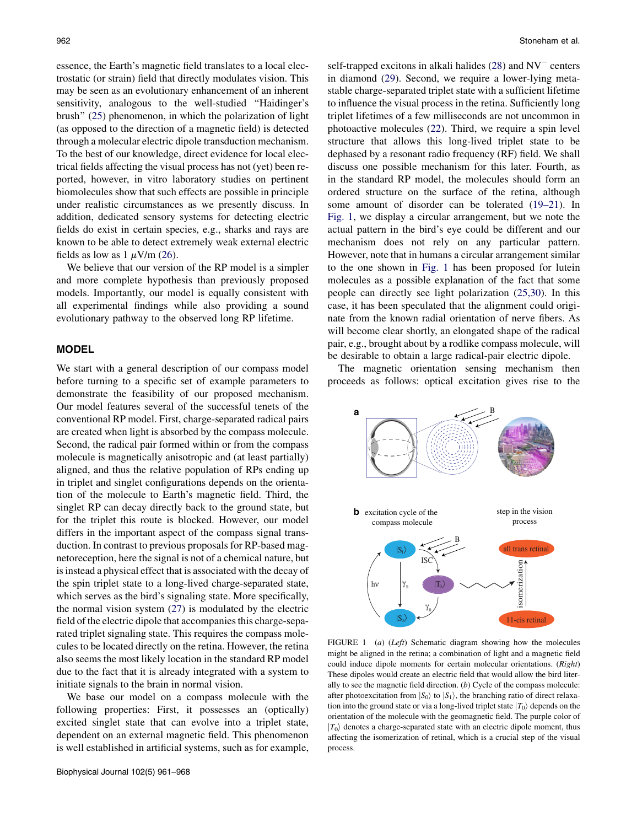essence, the Earth's magnetic field translates to a local electrostatic (or strain) field that directly modulates vision. This may be seen as an evolutionary enhancement of an inherent sensitivity, analogous to the well-studied "Haidinger's brush'' ([25](#page-7-0)) phenomenon, in which the polarization of light (as opposed to the direction of a magnetic field) is detected through a molecular electric dipole transduction mechanism. To the best of our knowledge, direct evidence for local electrical fields affecting the visual process has not (yet) been reported, however, in vitro laboratory studies on pertinent biomolecules show that such effects are possible in principle under realistic circumstances as we presently discuss. In addition, dedicated sensory systems for detecting electric fields do exist in certain species, e.g., sharks and rays are known to be able to detect extremely weak external electric fields as low as  $1 \mu V/m$  [\(26](#page-7-0)).

We believe that our version of the RP model is a simpler and more complete hypothesis than previously proposed models. Importantly, our model is equally consistent with all experimental findings while also providing a sound evolutionary pathway to the observed long RP lifetime.

### MODEL

We start with a general description of our compass model before turning to a specific set of example parameters to demonstrate the feasibility of our proposed mechanism. Our model features several of the successful tenets of the conventional RP model. First, charge-separated radical pairs are created when light is absorbed by the compass molecule. Second, the radical pair formed within or from the compass molecule is magnetically anisotropic and (at least partially) aligned, and thus the relative population of RPs ending up in triplet and singlet configurations depends on the orientation of the molecule to Earth's magnetic field. Third, the singlet RP can decay directly back to the ground state, but for the triplet this route is blocked. However, our model differs in the important aspect of the compass signal transduction. In contrast to previous proposals for RP-based magnetoreception, here the signal is not of a chemical nature, but is instead a physical effect that is associated with the decay of the spin triplet state to a long-lived charge-separated state, which serves as the bird's signaling state. More specifically, the normal vision system [\(27](#page-7-0)) is modulated by the electric field of the electric dipole that accompanies this charge-separated triplet signaling state. This requires the compass molecules to be located directly on the retina. However, the retina also seems the most likely location in the standard RP model due to the fact that it is already integrated with a system to initiate signals to the brain in normal vision.

We base our model on a compass molecule with the following properties: First, it possesses an (optically) excited singlet state that can evolve into a triplet state, dependent on an external magnetic field. This phenomenon is well established in artificial systems, such as for example,

self-trapped excitons in alkali halides  $(28)$  $(28)$  and  $\text{NV}^-$  centers in diamond [\(29](#page-7-0)). Second, we require a lower-lying metastable charge-separated triplet state with a sufficient lifetime to influence the visual process in the retina. Sufficiently long triplet lifetimes of a few milliseconds are not uncommon in photoactive molecules ([22\)](#page-7-0). Third, we require a spin level structure that allows this long-lived triplet state to be dephased by a resonant radio frequency (RF) field. We shall discuss one possible mechanism for this later. Fourth, as in the standard RP model, the molecules should form an ordered structure on the surface of the retina, although some amount of disorder can be tolerated ([19–21\)](#page-7-0). In Fig. 1, we display a circular arrangement, but we note the actual pattern in the bird's eye could be different and our mechanism does not rely on any particular pattern. However, note that in humans a circular arrangement similar to the one shown in Fig. 1 has been proposed for lutein molecules as a possible explanation of the fact that some people can directly see light polarization ([25,30](#page-7-0)). In this case, it has been speculated that the alignment could originate from the known radial orientation of nerve fibers. As will become clear shortly, an elongated shape of the radical pair, e.g., brought about by a rodlike compass molecule, will be desirable to obtain a large radical-pair electric dipole.

The magnetic orientation sensing mechanism then proceeds as follows: optical excitation gives rise to the



FIGURE 1 (*a*) (*Left*) Schematic diagram showing how the molecules might be aligned in the retina; a combination of light and a magnetic field could induce dipole moments for certain molecular orientations. (Right) These dipoles would create an electric field that would allow the bird literally to see the magnetic field direction.  $(b)$  Cycle of the compass molecule: after photoexcitation from  $|S_0\rangle$  to  $|S_1\rangle$ , the branching ratio of direct relaxation into the ground state or via a long-lived triplet state  $|T_0\rangle$  depends on the orientation of the molecule with the geomagnetic field. The purple color of  $|T_0\rangle$  denotes a charge-separated state with an electric dipole moment, thus affecting the isomerization of retinal, which is a crucial step of the visual process.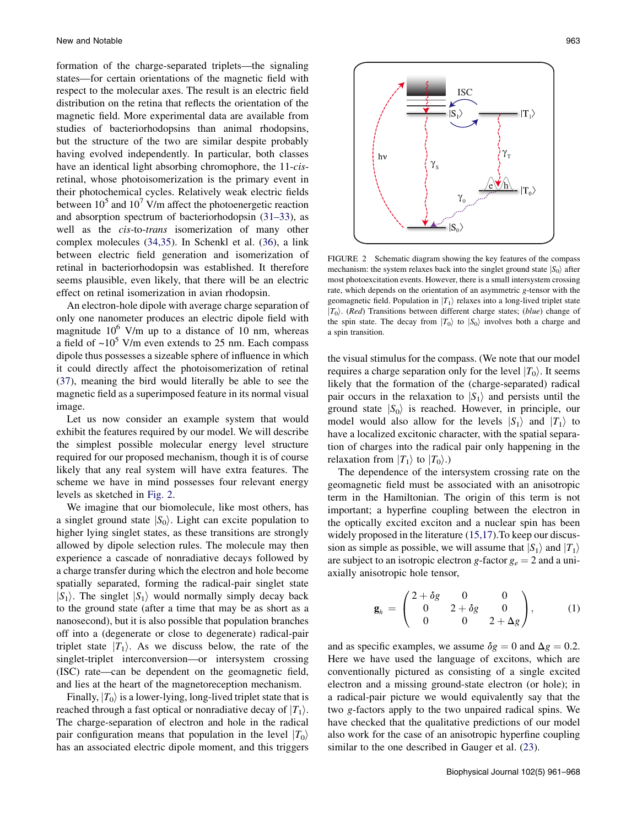<span id="page-3-0"></span>formation of the charge-separated triplets—the signaling states—for certain orientations of the magnetic field with respect to the molecular axes. The result is an electric field distribution on the retina that reflects the orientation of the magnetic field. More experimental data are available from studies of bacteriorhodopsins than animal rhodopsins, but the structure of the two are similar despite probably having evolved independently. In particular, both classes have an identical light absorbing chromophore, the 11-cisretinal, whose photoisomerization is the primary event in their photochemical cycles. Relatively weak electric fields between  $10^5$  and  $10^7$  V/m affect the photoenergetic reaction and absorption spectrum of bacteriorhodopsin ([31–33\)](#page-7-0), as well as the *cis-to-trans* isomerization of many other complex molecules ([34,35](#page-7-0)). In Schenkl et al. ([36\)](#page-7-0), a link between electric field generation and isomerization of retinal in bacteriorhodopsin was established. It therefore seems plausible, even likely, that there will be an electric effect on retinal isomerization in avian rhodopsin.

An electron-hole dipole with average charge separation of only one nanometer produces an electric dipole field with magnitude  $10^6$  V/m up to a distance of 10 nm, whereas a field of  $\sim 10^5$  V/m even extends to 25 nm. Each compass dipole thus possesses a sizeable sphere of influence in which it could directly affect the photoisomerization of retinal ([37\)](#page-7-0), meaning the bird would literally be able to see the magnetic field as a superimposed feature in its normal visual image.

Let us now consider an example system that would exhibit the features required by our model. We will describe the simplest possible molecular energy level structure required for our proposed mechanism, though it is of course likely that any real system will have extra features. The scheme we have in mind possesses four relevant energy levels as sketched in Fig. 2.

We imagine that our biomolecule, like most others, has a singlet ground state  $|S_0\rangle$ . Light can excite population to higher lying singlet states, as these transitions are strongly allowed by dipole selection rules. The molecule may then experience a cascade of nonradiative decays followed by a charge transfer during which the electron and hole become spatially separated, forming the radical-pair singlet state  $|S_1\rangle$ . The singlet  $|S_1\rangle$  would normally simply decay back to the ground state (after a time that may be as short as a nanosecond), but it is also possible that population branches off into a (degenerate or close to degenerate) radical-pair triplet state  $|T_1\rangle$ . As we discuss below, the rate of the singlet-triplet interconversion—or intersystem crossing (ISC) rate—can be dependent on the geomagnetic field, and lies at the heart of the magnetoreception mechanism.

Finally,  $|T_0\rangle$  is a lower-lying, long-lived triplet state that is reached through a fast optical or nonradiative decay of  $|T_1\rangle$ . The charge-separation of electron and hole in the radical pair configuration means that population in the level  $|T_0\rangle$ has an associated electric dipole moment, and this triggers



FIGURE 2 Schematic diagram showing the key features of the compass mechanism: the system relaxes back into the singlet ground state  $|S_0\rangle$  after most photoexcitation events. However, there is a small intersystem crossing rate, which depends on the orientation of an asymmetric g-tensor with the geomagnetic field. Population in  $|T_1\rangle$  relaxes into a long-lived triplet state  $|T_0\rangle$ . (Red) Transitions between different charge states; (blue) change of the spin state. The decay from  $|T_0\rangle$  to  $|S_0\rangle$  involves both a charge and a spin transition.

the visual stimulus for the compass. (We note that our model requires a charge separation only for the level  $|T_0\rangle$ . It seems likely that the formation of the (charge-separated) radical pair occurs in the relaxation to  $|S_1\rangle$  and persists until the ground state  $|S_0\rangle$  is reached. However, in principle, our model would also allow for the levels  $|S_1\rangle$  and  $|T_1\rangle$  to have a localized excitonic character, with the spatial separation of charges into the radical pair only happening in the relaxation from  $|T_1\rangle$  to  $|T_0\rangle$ .)

The dependence of the intersystem crossing rate on the geomagnetic field must be associated with an anisotropic term in the Hamiltonian. The origin of this term is not important; a hyperfine coupling between the electron in the optically excited exciton and a nuclear spin has been widely proposed in the literature [\(15,17\)](#page-7-0).To keep our discussion as simple as possible, we will assume that  $|S_1\rangle$  and  $|T_1\rangle$ are subject to an isotropic electron g-factor  $g_e = 2$  and a uniaxially anisotropic hole tensor,

$$
\mathbf{g}_h = \begin{pmatrix} 2 + \delta g & 0 & 0 \\ 0 & 2 + \delta g & 0 \\ 0 & 0 & 2 + \Delta g \end{pmatrix}, \quad (1)
$$

and as specific examples, we assume  $\delta g = 0$  and  $\Delta g = 0.2$ . Here we have used the language of excitons, which are conventionally pictured as consisting of a single excited electron and a missing ground-state electron (or hole); in a radical-pair picture we would equivalently say that the two g-factors apply to the two unpaired radical spins. We have checked that the qualitative predictions of our model also work for the case of an anisotropic hyperfine coupling similar to the one described in Gauger et al. ([23\)](#page-7-0).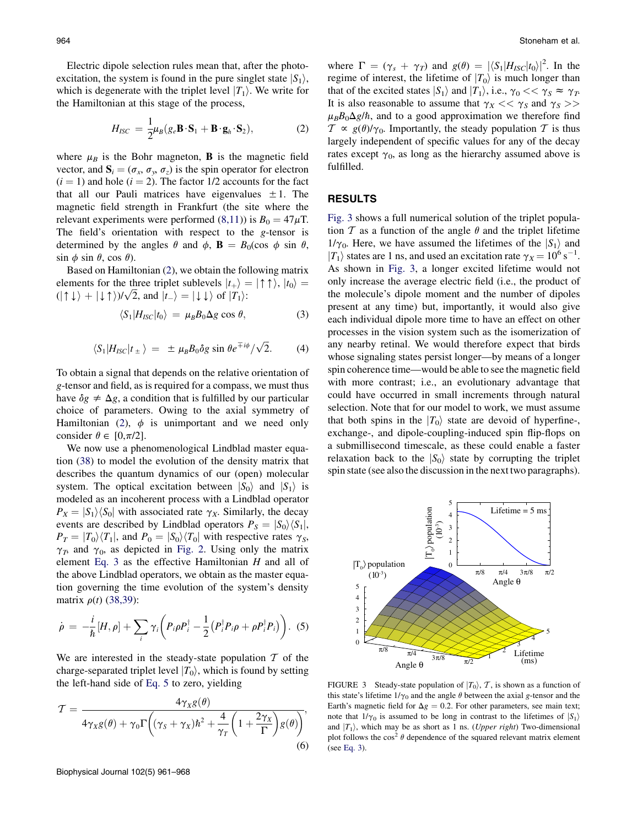<span id="page-4-0"></span>Electric dipole selection rules mean that, after the photoexcitation, the system is found in the pure singlet state  $|S_1\rangle$ , which is degenerate with the triplet level  $|T_1\rangle$ . We write for the Hamiltonian at this stage of the process,

$$
H_{ISC} = \frac{1}{2}\mu_B(g_e \mathbf{B} \cdot \mathbf{S}_1 + \mathbf{B} \cdot \mathbf{g}_h \cdot \mathbf{S}_2),
$$
 (2)

where  $\mu_B$  is the Bohr magneton, **B** is the magnetic field vector, and  $S_i = (\sigma_x, \sigma_y, \sigma_z)$  is the spin operator for electron  $(i = 1)$  and hole  $(i = 2)$ . The factor 1/2 accounts for the fact that all our Pauli matrices have eigenvalues  $\pm 1$ . The magnetic field strength in Frankfurt (the site where the relevant experiments were performed ([8,11](#page-7-0))) is  $B_0 = 47 \mu$ T. The field's orientation with respect to the g-tensor is determined by the angles  $\theta$  and  $\phi$ ,  $\mathbf{B} = B_0(\cos \phi \sin \theta,$  $\sin \phi \sin \theta$ , cos  $\theta$ ).

Based on Hamiltonian [\(2](#page-7-0)), we obtain the following matrix elements for the three triplet sublevels  $|t_{+}\rangle = |\uparrow \uparrow \rangle$ ,  $|t_{0}\rangle =$  $(|\uparrow \downarrow \rangle + |\downarrow \uparrow \rangle)/\sqrt{2}$ , and  $|t_{-}\rangle = |\downarrow \downarrow \rangle$  of  $|T_{1}\rangle$ :

$$
\langle S_1|H_{ISC}|t_0\rangle = \mu_B B_0 \Delta g \cos \theta, \qquad (3)
$$

$$
\langle S_1|H_{ISC}|t_{\pm}\rangle = \pm \mu_B B_0 \delta g \sin \theta e^{\mp i\phi}/\sqrt{2}.
$$
 (4)

To obtain a signal that depends on the relative orientation of g-tensor and field, as is required for a compass, we must thus have  $\delta g \neq \Delta g$ , a condition that is fulfilled by our particular choice of parameters. Owing to the axial symmetry of Hamiltonian [\(2](#page-7-0)),  $\phi$  is unimportant and we need only consider  $\theta \in [0,\pi/2]$ .

We now use a phenomenological Lindblad master equation ([38\)](#page-7-0) to model the evolution of the density matrix that describes the quantum dynamics of our (open) molecular system. The optical excitation between  $|S_0\rangle$  and  $|S_1\rangle$  is modeled as an incoherent process with a Lindblad operator  $P_X = |S_1\rangle\langle S_0|$  with associated rate  $\gamma_X$ . Similarly, the decay events are described by Lindblad operators  $P_S = |S_0\rangle\langle S_1|$ ,  $P_T = |T_0\rangle\langle T_1|$ , and  $P_0 = |S_0\rangle\langle T_0|$  with respective rates  $\gamma_S$ ,  $\gamma_T$ , and  $\gamma_0$ , as depicted in [Fig. 2.](#page-3-0) Using only the matrix element Eq. 3 as the effective Hamiltonian  $H$  and all of the above Lindblad operators, we obtain as the master equation governing the time evolution of the system's density matrix  $\rho(t)$  [\(38,39\)](#page-7-0):

$$
\dot{\rho} = -\frac{i}{\hbar} [H,\rho] + \sum_i \gamma_i \bigg( P_i \rho P_i^\dagger - \frac{1}{2} \big( P_i^\dagger P_i \rho + \rho P_i^\dagger P_i \big) \bigg). \tag{5}
$$

We are interested in the steady-state population  $T$  of the charge-separated triplet level  $|T_0\rangle$ , which is found by setting the left-hand side of Eq. 5 to zero, yielding

$$
\mathcal{T} = \frac{4\gamma_X g(\theta)}{4\gamma_X g(\theta) + \gamma_0 \Gamma \left( (\gamma_S + \gamma_X) \hbar^2 + \frac{4}{\gamma_T} \left( 1 + \frac{2\gamma_X}{\Gamma} \right) g(\theta) \right)},\tag{6}
$$

where  $\Gamma = (\gamma_s + \gamma_T)$  and  $g(\theta) = |\langle S_1|H_{ISC}|t_0\rangle|^2$ . In the regime of interest, the lifetime of  $|T_0\rangle$  is much longer than that of the excited states  $|S_1\rangle$  and  $|T_1\rangle$ , i.e.,  $\gamma_0 \ll \gamma_S \approx \gamma_T$ . It is also reasonable to assume that  $\gamma_X << \gamma_S$  and  $\gamma_S >>$  $\mu_B B_0 \Delta g/\hbar$ , and to a good approximation we therefore find  $T \propto g(\theta)/\gamma_0$ . Importantly, the steady population T is thus largely independent of specific values for any of the decay rates except  $\gamma_0$ , as long as the hierarchy assumed above is fulfilled.

### RESULTS

Fig. 3 shows a full numerical solution of the triplet population T as a function of the angle  $\theta$  and the triplet lifetime  $1/\gamma_0$ . Here, we have assumed the lifetimes of the  $|S_1\rangle$  and  $|T_1\rangle$  states are 1 ns, and used an excitation rate  $\gamma_X = 10^6$  s<sup>-1</sup>. As shown in Fig. 3, a longer excited lifetime would not only increase the average electric field (i.e., the product of the molecule's dipole moment and the number of dipoles present at any time) but, importantly, it would also give each individual dipole more time to have an effect on other processes in the vision system such as the isomerization of any nearby retinal. We would therefore expect that birds whose signaling states persist longer—by means of a longer spin coherence time—would be able to see the magnetic field with more contrast; i.e., an evolutionary advantage that could have occurred in small increments through natural selection. Note that for our model to work, we must assume that both spins in the  $|T_0\rangle$  state are devoid of hyperfine-, exchange-, and dipole-coupling-induced spin flip-flops on a submillisecond timescale, as these could enable a faster relaxation back to the  $|S_0\rangle$  state by corrupting the triplet spin state (see also the discussion in the next two paragraphs).



FIGURE 3 Steady-state population of  $|T_0\rangle$ , T, is shown as a function of this state's lifetime  $1/\gamma_0$  and the angle  $\theta$  between the axial g-tensor and the Earth's magnetic field for  $\Delta g = 0.2$ . For other parameters, see main text; note that  $1/\gamma_0$  is assumed to be long in contrast to the lifetimes of  $|S_1\rangle$ and  $|T_1\rangle$ , which may be as short as 1 ns. (*Upper right*) Two-dimensional plot follows the  $\cos^2 \theta$  dependence of the squared relevant matrix element (see Eq. 3).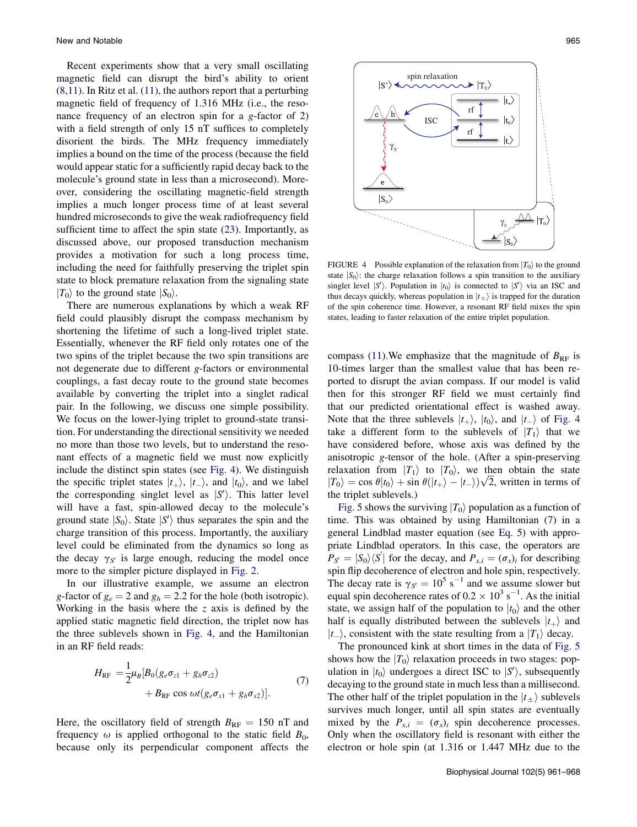Recent experiments show that a very small oscillating magnetic field can disrupt the bird's ability to orient  $(8,11)$  $(8,11)$  $(8,11)$ . In Ritz et al.  $(11)$  $(11)$ , the authors report that a perturbing magnetic field of frequency of 1.316 MHz (i.e., the resonance frequency of an electron spin for a g-factor of 2) with a field strength of only 15 nT suffices to completely disorient the birds. The MHz frequency immediately implies a bound on the time of the process (because the field would appear static for a sufficiently rapid decay back to the molecule's ground state in less than a microsecond). Moreover, considering the oscillating magnetic-field strength implies a much longer process time of at least several hundred microseconds to give the weak radiofrequency field sufficient time to affect the spin state ([23\)](#page-7-0). Importantly, as discussed above, our proposed transduction mechanism provides a motivation for such a long process time, including the need for faithfully preserving the triplet spin state to block premature relaxation from the signaling state  $|T_0\rangle$  to the ground state  $|S_0\rangle$ .

There are numerous explanations by which a weak RF field could plausibly disrupt the compass mechanism by shortening the lifetime of such a long-lived triplet state. Essentially, whenever the RF field only rotates one of the two spins of the triplet because the two spin transitions are not degenerate due to different g-factors or environmental couplings, a fast decay route to the ground state becomes available by converting the triplet into a singlet radical pair. In the following, we discuss one simple possibility. We focus on the lower-lying triplet to ground-state transition. For understanding the directional sensitivity we needed no more than those two levels, but to understand the resonant effects of a magnetic field we must now explicitly include the distinct spin states (see Fig. 4). We distinguish the specific triplet states  $|t_+\rangle$ ,  $|t_-\rangle$ , and  $|t_0\rangle$ , and we label the corresponding singlet level as  $|S'\rangle$ . This latter level will have a fast, spin-allowed decay to the molecule's ground state  $|S_0\rangle$ . State  $|S'\rangle$  thus separates the spin and the charge transition of this process. Importantly, the auxiliary level could be eliminated from the dynamics so long as the decay  $\gamma_{S'}$  is large enough, reducing the model once more to the simpler picture displayed in [Fig. 2.](#page-3-0)

In our illustrative example, we assume an electron g-factor of  $g_e = 2$  and  $g_h = 2.2$  for the hole (both isotropic). Working in the basis where the  $z$  axis is defined by the applied static magnetic field direction, the triplet now has the three sublevels shown in Fig. 4, and the Hamiltonian in an RF field reads:

$$
H_{\rm RF} = \frac{1}{2} \mu_B [B_0 (g_e \sigma_{z1} + g_h \sigma_{z2})
$$
  
+  $B_{\rm RF} \cos \omega t (g_e \sigma_{x1} + g_h \sigma_{x2})].$  (7)

Here, the oscillatory field of strength  $B_{RF} = 150$  nT and frequency  $\omega$  is applied orthogonal to the static field  $B_0$ , because only its perpendicular component affects the



FIGURE 4 Possible explanation of the relaxation from  $|T_0\rangle$  to the ground state  $|S_0\rangle$ : the charge relaxation follows a spin transition to the auxiliary singlet level  $|S'\rangle$ . Population in  $|t_0\rangle$  is connected to  $|S'\rangle$  via an ISC and thus decays quickly, whereas population in  $|t_{\pm}\rangle$  is trapped for the duration of the spin coherence time. However, a resonant RF field mixes the spin states, leading to faster relaxation of the entire triplet population.

compass ([11\)](#page-7-0). We emphasize that the magnitude of  $B_{RF}$  is 10-times larger than the smallest value that has been reported to disrupt the avian compass. If our model is valid then for this stronger RF field we must certainly find that our predicted orientational effect is washed away. Note that the three sublevels  $|t_+\rangle$ ,  $|t_0\rangle$ , and  $|t_-\rangle$  of Fig. 4 take a different form to the sublevels of  $|T_1\rangle$  that we have considered before, whose axis was defined by the anisotropic g-tensor of the hole. (After a spin-preserving relaxation from  $|T_1\rangle$  to  $|T_0\rangle$ , we then obtain the state  $|T_0\rangle = \cos \theta |t_0\rangle + \sin \theta (|t_+\rangle - |t_-\rangle)\sqrt{2}$ , written in terms of<br>the triplet sublevels the triplet sublevels.)

[Fig. 5](#page-6-0) shows the surviving  $|T_0\rangle$  population as a function of time. This was obtained by using Hamiltonian ([7\)](#page-7-0) in a general Lindblad master equation (see [Eq. 5\)](#page-4-0) with appropriate Lindblad operators. In this case, the operators are  $P_{S'} = |S_0\rangle\langle S'|$  for the decay, and  $P_{x,i} = (\sigma_x)_i$  for describing spin flip decoherence of electron and hole spin, respectively. The decay rate is  $\gamma_{S'} = 10^5 \text{ s}^{-1}$  and we assume slower but equal spin decoherence rates of  $0.2 \times 10^3 \text{ s}^{-1}$ . As the initial state, we assign half of the population to  $|t_0\rangle$  and the other half is equally distributed between the sublevels  $|t_+\rangle$  and  $|t_{-}\rangle$ , consistent with the state resulting from a  $|T_1\rangle$  decay.

The pronounced kink at short times in the data of [Fig. 5](#page-6-0) shows how the  $|T_0\rangle$  relaxation proceeds in two stages: population in  $|t_0\rangle$  undergoes a direct ISC to  $|S'\rangle$ , subsequently decaying to the ground state in much less than a millisecond. The other half of the triplet population in the  $|t_+\rangle$  sublevels survives much longer, until all spin states are eventually mixed by the  $P_{x,i} = (\sigma_x)_i$  spin decoherence processes. Only when the oscillatory field is resonant with either the electron or hole spin (at 1.316 or 1.447 MHz due to the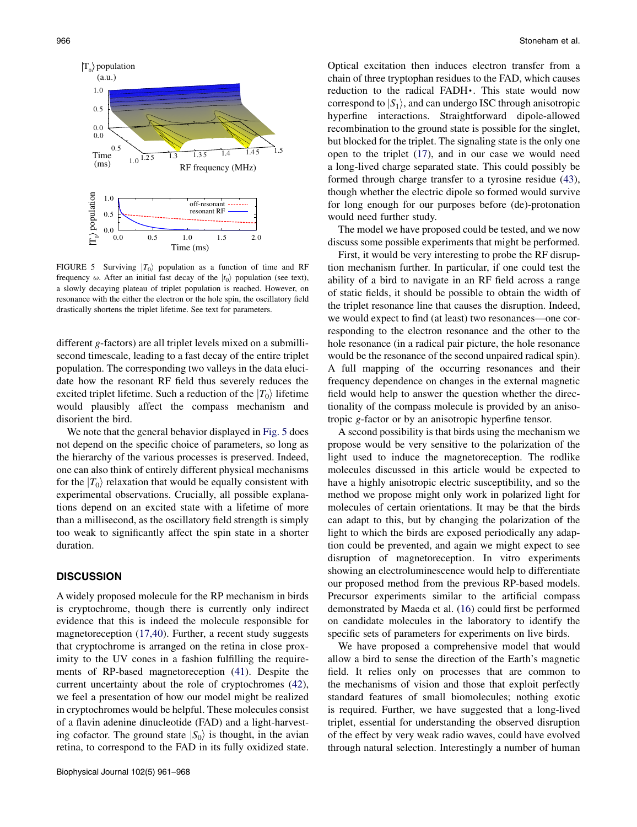<span id="page-6-0"></span>

FIGURE 5 Surviving  $|T_0\rangle$  population as a function of time and RF frequency  $\omega$ . After an initial fast decay of the  $|t_0\rangle$  population (see text), a slowly decaying plateau of triplet population is reached. However, on resonance with the either the electron or the hole spin, the oscillatory field drastically shortens the triplet lifetime. See text for parameters.

different g-factors) are all triplet levels mixed on a submillisecond timescale, leading to a fast decay of the entire triplet population. The corresponding two valleys in the data elucidate how the resonant RF field thus severely reduces the excited triplet lifetime. Such a reduction of the  $|T_0\rangle$  lifetime would plausibly affect the compass mechanism and disorient the bird.

We note that the general behavior displayed in Fig. 5 does not depend on the specific choice of parameters, so long as the hierarchy of the various processes is preserved. Indeed, one can also think of entirely different physical mechanisms for the  $|T_0\rangle$  relaxation that would be equally consistent with experimental observations. Crucially, all possible explanations depend on an excited state with a lifetime of more than a millisecond, as the oscillatory field strength is simply too weak to significantly affect the spin state in a shorter duration.

## **DISCUSSION**

A widely proposed molecule for the RP mechanism in birds is cryptochrome, though there is currently only indirect evidence that this is indeed the molecule responsible for magnetoreception ([17,40](#page-7-0)). Further, a recent study suggests that cryptochrome is arranged on the retina in close proximity to the UV cones in a fashion fulfilling the requirements of RP-based magnetoreception [\(41](#page-8-0)). Despite the current uncertainty about the role of cryptochromes ([42\)](#page-8-0), we feel a presentation of how our model might be realized in cryptochromes would be helpful. These molecules consist of a flavin adenine dinucleotide (FAD) and a light-harvesting cofactor. The ground state  $|S_0\rangle$  is thought, in the avian retina, to correspond to the FAD in its fully oxidized state.

Optical excitation then induces electron transfer from a chain of three tryptophan residues to the FAD, which causes reduction to the radical FADH ·. This state would now correspond to  $|S_1\rangle$ , and can undergo ISC through anisotropic hyperfine interactions. Straightforward dipole-allowed recombination to the ground state is possible for the singlet, but blocked for the triplet. The signaling state is the only one open to the triplet ([17\)](#page-7-0), and in our case we would need a long-lived charge separated state. This could possibly be formed through charge transfer to a tyrosine residue ([43\)](#page-8-0), though whether the electric dipole so formed would survive for long enough for our purposes before (de)-protonation would need further study.

The model we have proposed could be tested, and we now discuss some possible experiments that might be performed.

First, it would be very interesting to probe the RF disruption mechanism further. In particular, if one could test the ability of a bird to navigate in an RF field across a range of static fields, it should be possible to obtain the width of the triplet resonance line that causes the disruption. Indeed, we would expect to find (at least) two resonances—one corresponding to the electron resonance and the other to the hole resonance (in a radical pair picture, the hole resonance would be the resonance of the second unpaired radical spin). A full mapping of the occurring resonances and their frequency dependence on changes in the external magnetic field would help to answer the question whether the directionality of the compass molecule is provided by an anisotropic g-factor or by an anisotropic hyperfine tensor.

A second possibility is that birds using the mechanism we propose would be very sensitive to the polarization of the light used to induce the magnetoreception. The rodlike molecules discussed in this article would be expected to have a highly anisotropic electric susceptibility, and so the method we propose might only work in polarized light for molecules of certain orientations. It may be that the birds can adapt to this, but by changing the polarization of the light to which the birds are exposed periodically any adaption could be prevented, and again we might expect to see disruption of magnetoreception. In vitro experiments showing an electroluminescence would help to differentiate our proposed method from the previous RP-based models. Precursor experiments similar to the artificial compass demonstrated by Maeda et al. [\(16](#page-7-0)) could first be performed on candidate molecules in the laboratory to identify the specific sets of parameters for experiments on live birds.

We have proposed a comprehensive model that would allow a bird to sense the direction of the Earth's magnetic field. It relies only on processes that are common to the mechanisms of vision and those that exploit perfectly standard features of small biomolecules; nothing exotic is required. Further, we have suggested that a long-lived triplet, essential for understanding the observed disruption of the effect by very weak radio waves, could have evolved through natural selection. Interestingly a number of human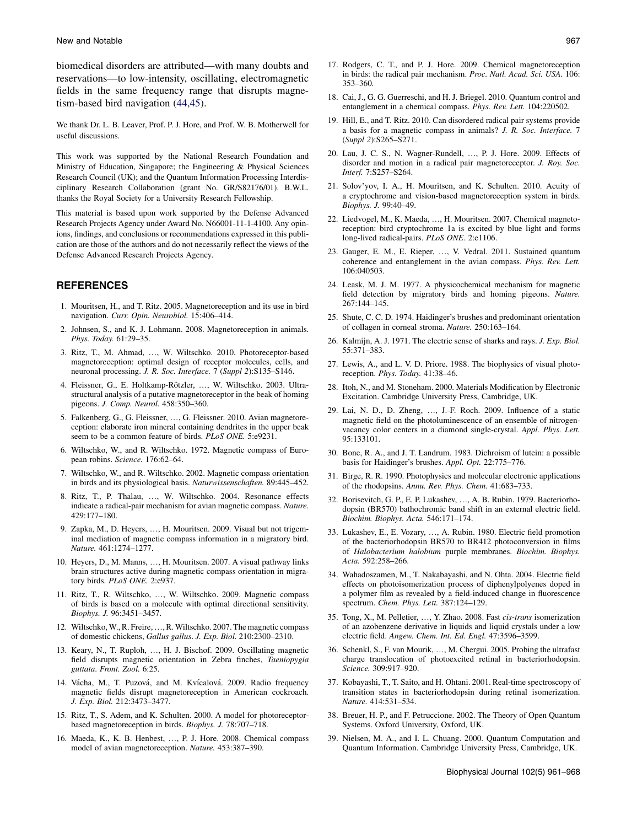<span id="page-7-0"></span>biomedical disorders are attributed—with many doubts and reservations—to low-intensity, oscillating, electromagnetic fields in the same frequency range that disrupts magnetism-based bird navigation [\(44,45\)](#page-8-0).

We thank Dr. L. B. Leaver, Prof. P. J. Hore, and Prof. W. B. Motherwell for useful discussions.

This work was supported by the National Research Foundation and Ministry of Education, Singapore; the Engineering & Physical Sciences Research Council (UK); and the Quantum Information Processing Interdisciplinary Research Collaboration (grant No. GR/S82176/01). B.W.L. thanks the Royal Society for a University Research Fellowship.

This material is based upon work supported by the Defense Advanced Research Projects Agency under Award No. N66001-11-1-4100. Any opinions, findings, and conclusions or recommendations expressed in this publication are those of the authors and do not necessarily reflect the views of the Defense Advanced Research Projects Agency.

### REFERENCES

- 1. Mouritsen, H., and T. Ritz. 2005. Magnetoreception and its use in bird navigation. Curr. Opin. Neurobiol. 15:406–414.
- 2. Johnsen, S., and K. J. Lohmann. 2008. Magnetoreception in animals. Phys. Today. 61:29–35.
- 3. Ritz, T., M. Ahmad, ..., W. Wiltschko. 2010. Photoreceptor-based magnetoreception: optimal design of receptor molecules, cells, and neuronal processing. J. R. Soc. Interface. 7 (Suppl 2):S135–S146.
- 4. Fleissner, G., E. Holtkamp-Rötzler, ..., W. Wiltschko. 2003. Ultrastructural analysis of a putative magnetoreceptor in the beak of homing pigeons. J. Comp. Neurol. 458:350–360.
- 5. Falkenberg, G., G. Fleissner, ..., G. Fleissner. 2010. Avian magnetoreception: elaborate iron mineral containing dendrites in the upper beak seem to be a common feature of birds. *PLoS ONE*. 5:e9231.
- 6. Wiltschko, W., and R. Wiltschko. 1972. Magnetic compass of European robins. Science. 176:62–64.
- 7. Wiltschko, W., and R. Wiltschko. 2002. Magnetic compass orientation in birds and its physiological basis. Naturwissenschaften. 89:445–452.
- 8. Ritz, T., P. Thalau, ..., W. Wiltschko. 2004. Resonance effects indicate a radical-pair mechanism for avian magnetic compass. Nature. 429:177–180.
- 9. Zapka, M., D. Heyers, ..., H. Mouritsen. 2009. Visual but not trigeminal mediation of magnetic compass information in a migratory bird. Nature. 461:1274–1277.
- 10. Heyers, D., M. Manns, ..., H. Mouritsen. 2007. A visual pathway links brain structures active during magnetic compass orientation in migratory birds. PLoS ONE. 2:e937.
- 11. Ritz, T., R. Wiltschko, ..., W. Wiltschko. 2009. Magnetic compass of birds is based on a molecule with optimal directional sensitivity. Biophys. J. 96:3451–3457.
- 12. Wiltschko,W., R. Freire,., R. Wiltschko. 2007. The magnetic compass of domestic chickens, Gallus gallus. J. Exp. Biol. 210:2300–2310.
- 13. Keary, N., T. Ruploh, ..., H. J. Bischof. 2009. Oscillating magnetic field disrupts magnetic orientation in Zebra finches, Taeniopygia guttata. Front. Zool. 6:25.
- 14. Vácha, M., T. Puzová, and M. Kvícalová. 2009. Radio frequency magnetic fields disrupt magnetoreception in American cockroach. J. Exp. Biol. 212:3473–3477.
- 15. Ritz, T., S. Adem, and K. Schulten. 2000. A model for photoreceptorbased magnetoreception in birds. Biophys. J. 78:707–718.
- 16. Maeda, K., K. B. Henbest, ., P. J. Hore. 2008. Chemical compass model of avian magnetoreception. Nature. 453:387–390.
- 17. Rodgers, C. T., and P. J. Hore. 2009. Chemical magnetoreception in birds: the radical pair mechanism. Proc. Natl. Acad. Sci. USA. 106: 353–360.
- 18. Cai, J., G. G. Guerreschi, and H. J. Briegel. 2010. Quantum control and entanglement in a chemical compass. Phys. Rev. Lett. 104:220502.
- 19. Hill, E., and T. Ritz. 2010. Can disordered radical pair systems provide a basis for a magnetic compass in animals? J. R. Soc. Interface. 7 (Suppl 2):S265–S271.
- 20. Lau, J. C. S., N. Wagner-Rundell, ..., P. J. Hore. 2009. Effects of disorder and motion in a radical pair magnetoreceptor. J. Roy. Soc. Interf. 7:S257–S264.
- 21. Solov'yov, I. A., H. Mouritsen, and K. Schulten. 2010. Acuity of a cryptochrome and vision-based magnetoreception system in birds. Biophys. J. 99:40–49.
- 22. Liedvogel, M., K. Maeda, ..., H. Mouritsen. 2007. Chemical magnetoreception: bird cryptochrome 1a is excited by blue light and forms long-lived radical-pairs. PLoS ONE. 2:e1106.
- 23. Gauger, E. M., E. Rieper, ..., V. Vedral. 2011. Sustained quantum coherence and entanglement in the avian compass. Phys. Rev. Lett. 106:040503.
- 24. Leask, M. J. M. 1977. A physicochemical mechanism for magnetic field detection by migratory birds and homing pigeons. Nature. 267:144–145.
- 25. Shute, C. C. D. 1974. Haidinger's brushes and predominant orientation of collagen in corneal stroma. Nature. 250:163–164.
- 26. Kalmijn, A. J. 1971. The electric sense of sharks and rays. J. Exp. Biol. 55:371–383.
- 27. Lewis, A., and L. V. D. Priore. 1988. The biophysics of visual photoreception. Phys. Today. 41:38–46.
- 28. Itoh, N., and M. Stoneham. 2000. Materials Modification by Electronic Excitation. Cambridge University Press, Cambridge, UK.
- 29. Lai, N. D., D. Zheng, ., J.-F. Roch. 2009. Influence of a static magnetic field on the photoluminescence of an ensemble of nitrogenvacancy color centers in a diamond single-crystal. Appl. Phys. Lett. 95:133101.
- 30. Bone, R. A., and J. T. Landrum. 1983. Dichroism of lutein: a possible basis for Haidinger's brushes. Appl. Opt. 22:775–776.
- 31. Birge, R. R. 1990. Photophysics and molecular electronic applications of the rhodopsins. Annu. Rev. Phys. Chem. 41:683–733.
- 32. Borisevitch, G. P., E. P. Lukashev, ., A. B. Rubin. 1979. Bacteriorhodopsin (BR570) bathochromic band shift in an external electric field. Biochim. Biophys. Acta. 546:171–174.
- 33. Lukashev, E., E. Vozary, ..., A. Rubin. 1980. Electric field promotion of the bacteriorhodopsin BR570 to BR412 photoconversion in films of Halobacterium halobium purple membranes. Biochim. Biophys. Acta. 592:258–266.
- 34. Wahadoszamen, M., T. Nakabayashi, and N. Ohta. 2004. Electric field effects on photoisomerization process of diphenylpolyenes doped in a polymer film as revealed by a field-induced change in fluorescence spectrum. Chem. Phys. Lett. 387:124–129.
- 35. Tong, X., M. Pelletier, ..., Y. Zhao. 2008. Fast cis-trans isomerization of an azobenzene derivative in liquids and liquid crystals under a low electric field. Angew. Chem. Int. Ed. Engl. 47:3596–3599.
- 36. Schenkl, S., F. van Mourik, ., M. Chergui. 2005. Probing the ultrafast charge translocation of photoexcited retinal in bacteriorhodopsin. Science. 309:917–920.
- 37. Kobayashi, T., T. Saito, and H. Ohtani. 2001. Real-time spectroscopy of transition states in bacteriorhodopsin during retinal isomerization. Nature. 414:531–534.
- 38. Breuer, H. P., and F. Petruccione. 2002. The Theory of Open Quantum Systems. Oxford University, Oxford, UK.
- 39. Nielsen, M. A., and I. L. Chuang. 2000. Quantum Computation and Quantum Information. Cambridge University Press, Cambridge, UK.